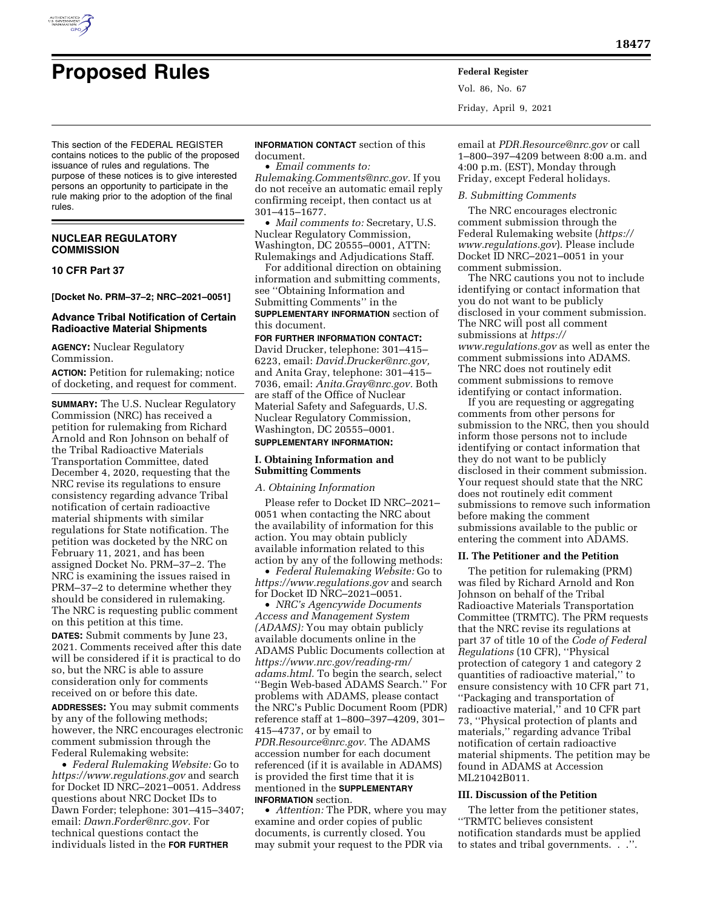

Vol. 86, No. 67 Friday, April 9, 2021

This section of the FEDERAL REGISTER contains notices to the public of the proposed issuance of rules and regulations. The purpose of these notices is to give interested persons an opportunity to participate in the rule making prior to the adoption of the final rules.

## **NUCLEAR REGULATORY COMMISSION**

### **10 CFR Part 37**

**[Docket No. PRM–37–2; NRC–2021–0051]** 

## **Advance Tribal Notification of Certain Radioactive Material Shipments**

**AGENCY:** Nuclear Regulatory Commission.

**ACTION:** Petition for rulemaking; notice of docketing, and request for comment.

**SUMMARY:** The U.S. Nuclear Regulatory Commission (NRC) has received a petition for rulemaking from Richard Arnold and Ron Johnson on behalf of the Tribal Radioactive Materials Transportation Committee, dated December 4, 2020, requesting that the NRC revise its regulations to ensure consistency regarding advance Tribal notification of certain radioactive material shipments with similar regulations for State notification. The petition was docketed by the NRC on February 11, 2021, and has been assigned Docket No. PRM–37–2. The NRC is examining the issues raised in PRM–37–2 to determine whether they should be considered in rulemaking. The NRC is requesting public comment on this petition at this time.

**DATES:** Submit comments by June 23, 2021. Comments received after this date will be considered if it is practical to do so, but the NRC is able to assure consideration only for comments received on or before this date.

**ADDRESSES:** You may submit comments by any of the following methods; however, the NRC encourages electronic comment submission through the Federal Rulemaking website:

• *Federal Rulemaking Website:* Go to *<https://www.regulations.gov>* and search for Docket ID NRC–2021–0051. Address questions about NRC Docket IDs to Dawn Forder; telephone: 301–415–3407; email: *[Dawn.Forder@nrc.gov.](mailto:Dawn.Forder@nrc.gov)* For technical questions contact the individuals listed in the **FOR FURTHER**

**INFORMATION CONTACT** section of this document.

• *Email comments to:* 

*[Rulemaking.Comments@nrc.gov.](mailto:Rulemaking.Comments@nrc.gov)* If you do not receive an automatic email reply confirming receipt, then contact us at 301–415–1677.

• *Mail comments to:* Secretary, U.S. Nuclear Regulatory Commission, Washington, DC 20555–0001, ATTN: Rulemakings and Adjudications Staff.

For additional direction on obtaining information and submitting comments, see ''Obtaining Information and Submitting Comments'' in the **SUPPLEMENTARY INFORMATION** section of this document.

## **FOR FURTHER INFORMATION CONTACT:**

David Drucker, telephone: 301–415– 6223, email: *[David.Drucker@nrc.gov,](mailto:David.Drucker@nrc.gov)*  and Anita Gray, telephone: 301–415– 7036, email: *[Anita.Gray@nrc.gov.](mailto:Anita.Gray@nrc.gov)* Both are staff of the Office of Nuclear Material Safety and Safeguards, U.S. Nuclear Regulatory Commission, Washington, DC 20555–0001.

# **SUPPLEMENTARY INFORMATION:**

### **I. Obtaining Information and Submitting Comments**

## *A. Obtaining Information*

Please refer to Docket ID NRC–2021– 0051 when contacting the NRC about the availability of information for this action. You may obtain publicly available information related to this action by any of the following methods:

• *Federal Rulemaking Website:* Go to *<https://www.regulations.gov>* and search for Docket ID NRC–2021–0051.

• *NRC's Agencywide Documents Access and Management System (ADAMS):* You may obtain publicly available documents online in the ADAMS Public Documents collection at *[https://www.nrc.gov/reading-rm/](https://www.nrc.gov/reading-rm/adams.html)  [adams.html.](https://www.nrc.gov/reading-rm/adams.html)* To begin the search, select ''Begin Web-based ADAMS Search.'' For problems with ADAMS, please contact the NRC's Public Document Room (PDR) reference staff at 1–800–397–4209, 301– 415–4737, or by email to *[PDR.Resource@nrc.gov.](mailto:PDR.Resource@nrc.gov)* The ADAMS accession number for each document referenced (if it is available in ADAMS) is provided the first time that it is mentioned in the **SUPPLEMENTARY INFORMATION** section.

• *Attention:* The PDR, where you may examine and order copies of public documents, is currently closed. You may submit your request to the PDR via

email at *[PDR.Resource@nrc.gov](mailto:PDR.Resource@nrc.gov)* or call 1–800–397–4209 between 8:00 a.m. and 4:00 p.m. (EST), Monday through Friday, except Federal holidays.

#### *B. Submitting Comments*

The NRC encourages electronic comment submission through the Federal Rulemaking website (*[https://](https://www.regulations.gov) [www.regulations.gov](https://www.regulations.gov)*). Please include Docket ID NRC–2021–0051 in your comment submission.

The NRC cautions you not to include identifying or contact information that you do not want to be publicly disclosed in your comment submission. The NRC will post all comment submissions at *[https://](https://www.regulations.gov) [www.regulations.gov](https://www.regulations.gov)* as well as enter the comment submissions into ADAMS. The NRC does not routinely edit comment submissions to remove identifying or contact information.

If you are requesting or aggregating comments from other persons for submission to the NRC, then you should inform those persons not to include identifying or contact information that they do not want to be publicly disclosed in their comment submission. Your request should state that the NRC does not routinely edit comment submissions to remove such information before making the comment submissions available to the public or entering the comment into ADAMS.

### **II. The Petitioner and the Petition**

The petition for rulemaking (PRM) was filed by Richard Arnold and Ron Johnson on behalf of the Tribal Radioactive Materials Transportation Committee (TRMTC). The PRM requests that the NRC revise its regulations at part 37 of title 10 of the *Code of Federal Regulations* (10 CFR), ''Physical protection of category 1 and category 2 quantities of radioactive material,'' to ensure consistency with 10 CFR part 71, ''Packaging and transportation of radioactive material,'' and 10 CFR part 73, ''Physical protection of plants and materials,'' regarding advance Tribal notification of certain radioactive material shipments. The petition may be found in ADAMS at Accession ML21042B011.

#### **III. Discussion of the Petition**

The letter from the petitioner states, ''TRMTC believes consistent notification standards must be applied to states and tribal governments. . .''.